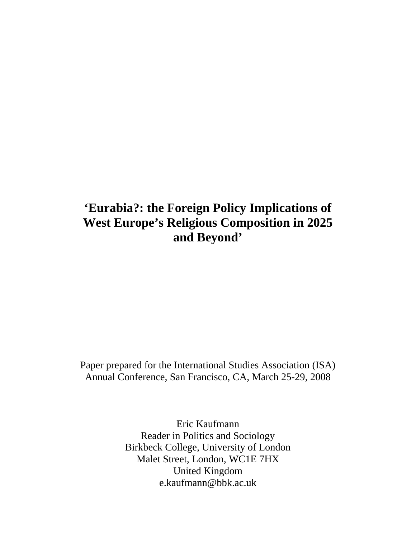# **'Eurabia?: the Foreign Policy Implications of West Europe's Religious Composition in 2025 and Beyond'**

Paper prepared for the International Studies Association (ISA) Annual Conference, San Francisco, CA, March 25-29, 2008

> Eric Kaufmann Reader in Politics and Sociology Birkbeck College, University of London Malet Street, London, WC1E 7HX United Kingdom e.kaufmann@bbk.ac.uk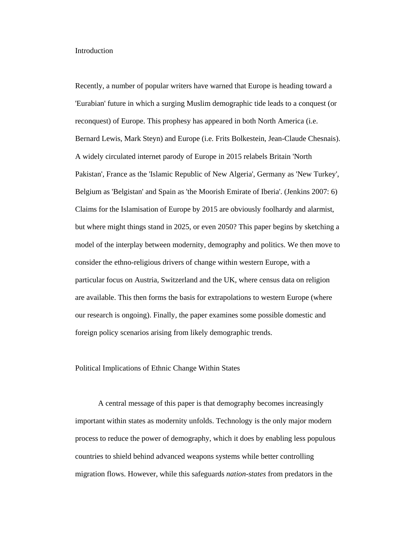#### Introduction

Recently, a number of popular writers have warned that Europe is heading toward a 'Eurabian' future in which a surging Muslim demographic tide leads to a conquest (or reconquest) of Europe. This prophesy has appeared in both North America (i.e. Bernard Lewis, Mark Steyn) and Europe (i.e. Frits Bolkestein, Jean-Claude Chesnais). A widely circulated internet parody of Europe in 2015 relabels Britain 'North Pakistan', France as the 'Islamic Republic of New Algeria', Germany as 'New Turkey', Belgium as 'Belgistan' and Spain as 'the Moorish Emirate of Iberia'. (Jenkins 2007: 6) Claims for the Islamisation of Europe by 2015 are obviously foolhardy and alarmist, but where might things stand in 2025, or even 2050? This paper begins by sketching a model of the interplay between modernity, demography and politics. We then move to consider the ethno-religious drivers of change within western Europe, with a particular focus on Austria, Switzerland and the UK, where census data on religion are available. This then forms the basis for extrapolations to western Europe (where our research is ongoing). Finally, the paper examines some possible domestic and foreign policy scenarios arising from likely demographic trends.

#### Political Implications of Ethnic Change Within States

A central message of this paper is that demography becomes increasingly important within states as modernity unfolds. Technology is the only major modern process to reduce the power of demography, which it does by enabling less populous countries to shield behind advanced weapons systems while better controlling migration flows. However, while this safeguards *nation-states* from predators in the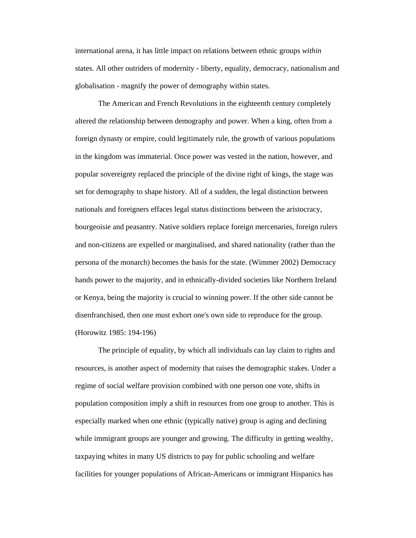international arena, it has little impact on relations between ethnic groups *within* states. All other outriders of modernity - liberty, equality, democracy, nationalism and globalisation - magnify the power of demography within states.

 The American and French Revolutions in the eighteenth century completely altered the relationship between demography and power. When a king, often from a foreign dynasty or empire, could legitimately rule, the growth of various populations in the kingdom was immaterial. Once power was vested in the nation, however, and popular sovereignty replaced the principle of the divine right of kings, the stage was set for demography to shape history. All of a sudden, the legal distinction between nationals and foreigners effaces legal status distinctions between the aristocracy, bourgeoisie and peasantry. Native soldiers replace foreign mercenaries, foreign rulers and non-citizens are expelled or marginalised, and shared nationality (rather than the persona of the monarch) becomes the basis for the state. (Wimmer 2002) Democracy hands power to the majority, and in ethnically-divided societies like Northern Ireland or Kenya, being the majority is crucial to winning power. If the other side cannot be disenfranchised, then one must exhort one's own side to reproduce for the group. (Horowitz 1985: 194-196)

 The principle of equality, by which all individuals can lay claim to rights and resources, is another aspect of modernity that raises the demographic stakes. Under a regime of social welfare provision combined with one person one vote, shifts in population composition imply a shift in resources from one group to another. This is especially marked when one ethnic (typically native) group is aging and declining while immigrant groups are younger and growing. The difficulty in getting wealthy, taxpaying whites in many US districts to pay for public schooling and welfare facilities for younger populations of African-Americans or immigrant Hispanics has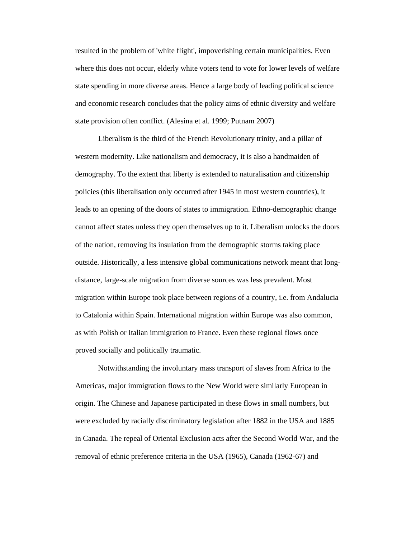resulted in the problem of 'white flight', impoverishing certain municipalities. Even where this does not occur, elderly white voters tend to vote for lower levels of welfare state spending in more diverse areas. Hence a large body of leading political science and economic research concludes that the policy aims of ethnic diversity and welfare state provision often conflict. (Alesina et al. 1999; Putnam 2007)

 Liberalism is the third of the French Revolutionary trinity, and a pillar of western modernity. Like nationalism and democracy, it is also a handmaiden of demography. To the extent that liberty is extended to naturalisation and citizenship policies (this liberalisation only occurred after 1945 in most western countries), it leads to an opening of the doors of states to immigration. Ethno-demographic change cannot affect states unless they open themselves up to it. Liberalism unlocks the doors of the nation, removing its insulation from the demographic storms taking place outside. Historically, a less intensive global communications network meant that longdistance, large-scale migration from diverse sources was less prevalent. Most migration within Europe took place between regions of a country, i.e. from Andalucia to Catalonia within Spain. International migration within Europe was also common, as with Polish or Italian immigration to France. Even these regional flows once proved socially and politically traumatic.

 Notwithstanding the involuntary mass transport of slaves from Africa to the Americas, major immigration flows to the New World were similarly European in origin. The Chinese and Japanese participated in these flows in small numbers, but were excluded by racially discriminatory legislation after 1882 in the USA and 1885 in Canada. The repeal of Oriental Exclusion acts after the Second World War, and the removal of ethnic preference criteria in the USA (1965), Canada (1962-67) and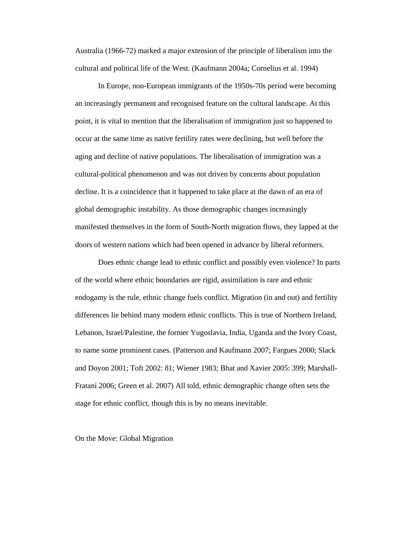Australia (1966-72) marked a major extension of the principle of liberalism into the cultural and political life of the West. (Kaufmann 2004a; Cornelius et al. 1994)

In Europe, non-European immigrants of the 1950s-70s period were becoming an increasingly permanent and recognised feature on the cultural landscape. At this point, it is vital to mention that the liberalisation of immigration just so happened to occur at the same time as native fertility rates were declining, but well before the aging and decline of native populations. The liberalisation of immigration was a cultural-political phenomenon and was not driven by concerns about population decline. It is a coincidence that it happened to take place at the dawn of an era of global demographic instability. As those demographic changes increasingly manifested themselves in the form of South-North migration flows, they lapped at the doors of western nations which had been opened in advance by liberal reformers.

Does ethnic change lead to ethnic conflict and possibly even violence? In parts of the world where ethnic boundaries are rigid, assimilation is rare and ethnic endogamy is the rule, ethnic change fuels conflict. Migration (in and out) and fertility differences lie behind many modern ethnic conflicts. This is true of Northern Ireland, Lebanon, Israel/Palestine, the former Yugoslavia, India, Uganda and the Ivory Coast, to name some prominent cases. (Patterson and Kaufmann 2007; Fargues 2000; Slack and Doyon 2001; Toft 2002: 81; Wiener 1983; Bhat and Xavier 2005: 399; Marshall-Fratani 2006; Green et al. 2007) All told, ethnic demographic change often sets the stage for ethnic conflict, though this is by no means inevitable.

On the Move: Global Migration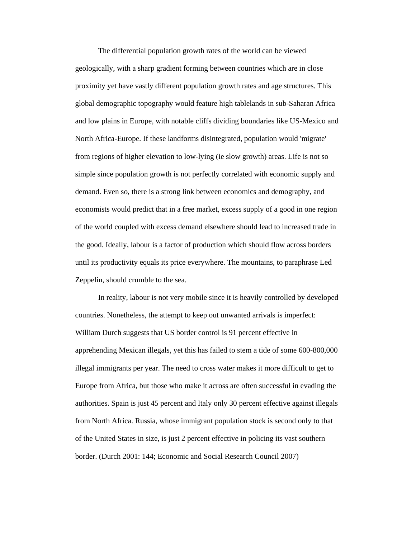The differential population growth rates of the world can be viewed geologically, with a sharp gradient forming between countries which are in close proximity yet have vastly different population growth rates and age structures. This global demographic topography would feature high tablelands in sub-Saharan Africa and low plains in Europe, with notable cliffs dividing boundaries like US-Mexico and North Africa-Europe. If these landforms disintegrated, population would 'migrate' from regions of higher elevation to low-lying (ie slow growth) areas. Life is not so simple since population growth is not perfectly correlated with economic supply and demand. Even so, there is a strong link between economics and demography, and economists would predict that in a free market, excess supply of a good in one region of the world coupled with excess demand elsewhere should lead to increased trade in the good. Ideally, labour is a factor of production which should flow across borders until its productivity equals its price everywhere. The mountains, to paraphrase Led Zeppelin, should crumble to the sea.

In reality, labour is not very mobile since it is heavily controlled by developed countries. Nonetheless, the attempt to keep out unwanted arrivals is imperfect: William Durch suggests that US border control is 91 percent effective in apprehending Mexican illegals, yet this has failed to stem a tide of some 600-800,000 illegal immigrants per year. The need to cross water makes it more difficult to get to Europe from Africa, but those who make it across are often successful in evading the authorities. Spain is just 45 percent and Italy only 30 percent effective against illegals from North Africa. Russia, whose immigrant population stock is second only to that of the United States in size, is just 2 percent effective in policing its vast southern border. (Durch 2001: 144; Economic and Social Research Council 2007)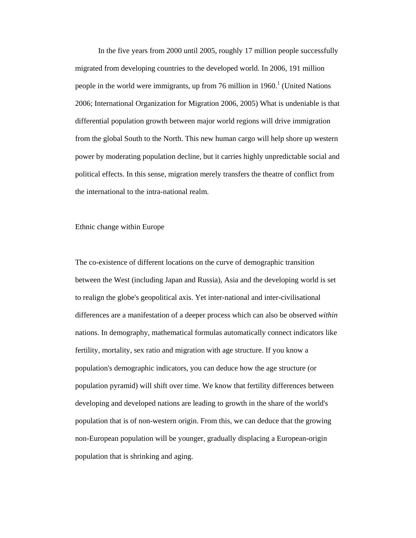In the five years from 2000 until 2005, roughly 17 million people successfully migrated from developing countries to the developed world. In 2006, 191 million people in the world were immigrants, up from 76 million in  $1960<sup>1</sup>$  (United Nations 2006; International Organization for Migration 2006, 2005) What is undeniable is that differential population growth between major world regions will drive immigration from the global South to the North. This new human cargo will help shore up western power by moderating population decline, but it carries highly unpredictable social and political effects. In this sense, migration merely transfers the theatre of conflict from the international to the intra-national realm.

#### Ethnic change within Europe

The co-existence of different locations on the curve of demographic transition between the West (including Japan and Russia), Asia and the developing world is set to realign the globe's geopolitical axis. Yet inter-national and inter-civilisational differences are a manifestation of a deeper process which can also be observed *within* nations. In demography, mathematical formulas automatically connect indicators like fertility, mortality, sex ratio and migration with age structure. If you know a population's demographic indicators, you can deduce how the age structure (or population pyramid) will shift over time. We know that fertility differences between developing and developed nations are leading to growth in the share of the world's population that is of non-western origin. From this, we can deduce that the growing non-European population will be younger, gradually displacing a European-origin population that is shrinking and aging.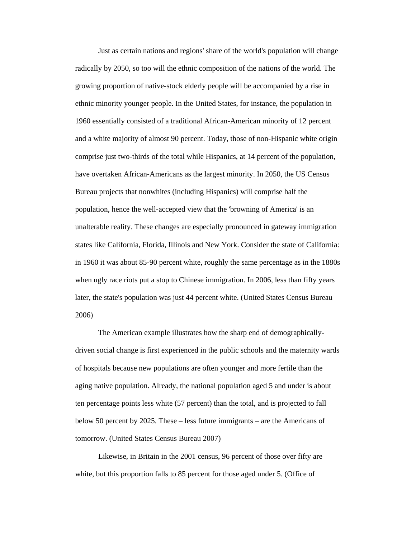Just as certain nations and regions' share of the world's population will change radically by 2050, so too will the ethnic composition of the nations of the world. The growing proportion of native-stock elderly people will be accompanied by a rise in ethnic minority younger people. In the United States, for instance, the population in 1960 essentially consisted of a traditional African-American minority of 12 percent and a white majority of almost 90 percent. Today, those of non-Hispanic white origin comprise just two-thirds of the total while Hispanics, at 14 percent of the population, have overtaken African-Americans as the largest minority. In 2050, the US Census Bureau projects that nonwhites (including Hispanics) will comprise half the population, hence the well-accepted view that the 'browning of America' is an unalterable reality. These changes are especially pronounced in gateway immigration states like California, Florida, Illinois and New York. Consider the state of California: in 1960 it was about 85-90 percent white, roughly the same percentage as in the 1880s when ugly race riots put a stop to Chinese immigration. In 2006, less than fifty years later, the state's population was just 44 percent white. (United States Census Bureau 2006)

The American example illustrates how the sharp end of demographicallydriven social change is first experienced in the public schools and the maternity wards of hospitals because new populations are often younger and more fertile than the aging native population. Already, the national population aged 5 and under is about ten percentage points less white (57 percent) than the total, and is projected to fall below 50 percent by 2025. These – less future immigrants – are the Americans of tomorrow. (United States Census Bureau 2007)

Likewise, in Britain in the 2001 census, 96 percent of those over fifty are white, but this proportion falls to 85 percent for those aged under 5. (Office of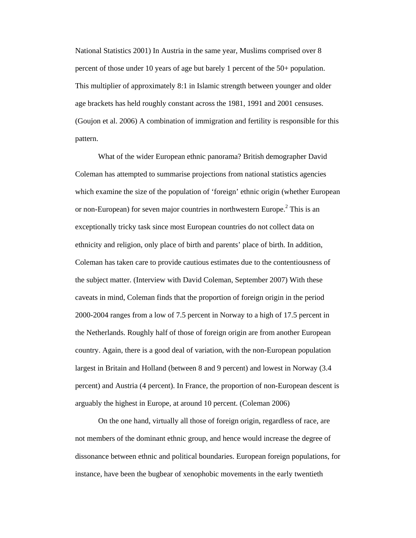National Statistics 2001) In Austria in the same year, Muslims comprised over 8 percent of those under 10 years of age but barely 1 percent of the 50+ population. This multiplier of approximately 8:1 in Islamic strength between younger and older age brackets has held roughly constant across the 1981, 1991 and 2001 censuses. (Goujon et al. 2006) A combination of immigration and fertility is responsible for this pattern.

What of the wider European ethnic panorama? British demographer David Coleman has attempted to summarise projections from national statistics agencies which examine the size of the population of 'foreign' ethnic origin (whether European or non-European) for seven major countries in northwestern Europe.<sup>2</sup> This is an exceptionally tricky task since most European countries do not collect data on ethnicity and religion, only place of birth and parents' place of birth. In addition, Coleman has taken care to provide cautious estimates due to the contentiousness of the subject matter. (Interview with David Coleman, September 2007) With these caveats in mind, Coleman finds that the proportion of foreign origin in the period 2000-2004 ranges from a low of 7.5 percent in Norway to a high of 17.5 percent in the Netherlands. Roughly half of those of foreign origin are from another European country. Again, there is a good deal of variation, with the non-European population largest in Britain and Holland (between 8 and 9 percent) and lowest in Norway (3.4 percent) and Austria (4 percent). In France, the proportion of non-European descent is arguably the highest in Europe, at around 10 percent. (Coleman 2006)

On the one hand, virtually all those of foreign origin, regardless of race, are not members of the dominant ethnic group, and hence would increase the degree of dissonance between ethnic and political boundaries. European foreign populations, for instance, have been the bugbear of xenophobic movements in the early twentieth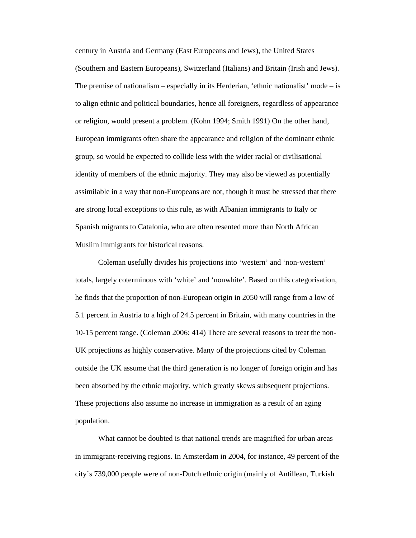century in Austria and Germany (East Europeans and Jews), the United States (Southern and Eastern Europeans), Switzerland (Italians) and Britain (Irish and Jews). The premise of nationalism – especially in its Herderian, 'ethnic nationalist' mode – is to align ethnic and political boundaries, hence all foreigners, regardless of appearance or religion, would present a problem. (Kohn 1994; Smith 1991) On the other hand, European immigrants often share the appearance and religion of the dominant ethnic group, so would be expected to collide less with the wider racial or civilisational identity of members of the ethnic majority. They may also be viewed as potentially assimilable in a way that non-Europeans are not, though it must be stressed that there are strong local exceptions to this rule, as with Albanian immigrants to Italy or Spanish migrants to Catalonia, who are often resented more than North African Muslim immigrants for historical reasons.

Coleman usefully divides his projections into 'western' and 'non-western' totals, largely coterminous with 'white' and 'nonwhite'. Based on this categorisation, he finds that the proportion of non-European origin in 2050 will range from a low of 5.1 percent in Austria to a high of 24.5 percent in Britain, with many countries in the 10-15 percent range. (Coleman 2006: 414) There are several reasons to treat the non-UK projections as highly conservative. Many of the projections cited by Coleman outside the UK assume that the third generation is no longer of foreign origin and has been absorbed by the ethnic majority, which greatly skews subsequent projections. These projections also assume no increase in immigration as a result of an aging population.

What cannot be doubted is that national trends are magnified for urban areas in immigrant-receiving regions. In Amsterdam in 2004, for instance, 49 percent of the city's 739,000 people were of non-Dutch ethnic origin (mainly of Antillean, Turkish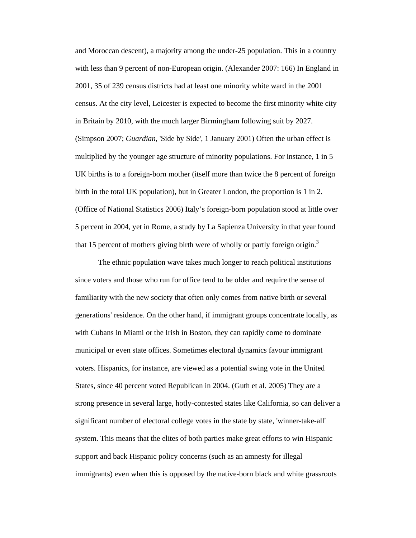and Moroccan descent), a majority among the under-25 population. This in a country with less than 9 percent of non-European origin. (Alexander 2007: 166) In England in 2001, 35 of 239 census districts had at least one minority white ward in the 2001 census. At the city level, Leicester is expected to become the first minority white city in Britain by 2010, with the much larger Birmingham following suit by 2027. (Simpson 2007; *Guardian*, 'Side by Side', 1 January 2001) Often the urban effect is multiplied by the younger age structure of minority populations. For instance, 1 in 5 UK births is to a foreign-born mother (itself more than twice the 8 percent of foreign birth in the total UK population), but in Greater London, the proportion is 1 in 2. (Office of National Statistics 2006) Italy's foreign-born population stood at little over 5 percent in 2004, yet in Rome, a study by La Sapienza University in that year found that 15 percent of mothers giving birth were of wholly or partly foreign origin.<sup>3</sup>

The ethnic population wave takes much longer to reach political institutions since voters and those who run for office tend to be older and require the sense of familiarity with the new society that often only comes from native birth or several generations' residence. On the other hand, if immigrant groups concentrate locally, as with Cubans in Miami or the Irish in Boston, they can rapidly come to dominate municipal or even state offices. Sometimes electoral dynamics favour immigrant voters. Hispanics, for instance, are viewed as a potential swing vote in the United States, since 40 percent voted Republican in 2004. (Guth et al. 2005) They are a strong presence in several large, hotly-contested states like California, so can deliver a significant number of electoral college votes in the state by state, 'winner-take-all' system. This means that the elites of both parties make great efforts to win Hispanic support and back Hispanic policy concerns (such as an amnesty for illegal immigrants) even when this is opposed by the native-born black and white grassroots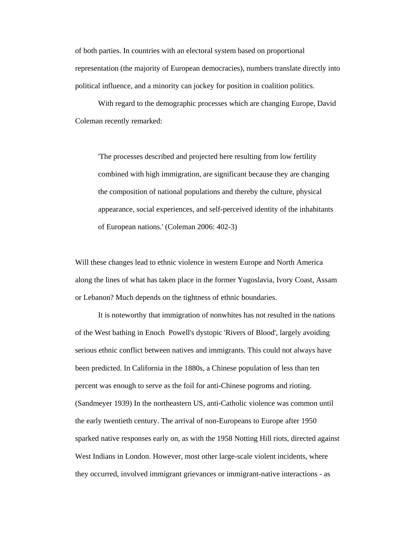of both parties. In countries with an electoral system based on proportional representation (the majority of European democracies), numbers translate directly into political influence, and a minority can jockey for position in coalition politics.

With regard to the demographic processes which are changing Europe, David Coleman recently remarked:

'The processes described and projected here resulting from low fertility combined with high immigration, are significant because they are changing the composition of national populations and thereby the culture, physical appearance, social experiences, and self-perceived identity of the inhabitants of European nations.' (Coleman 2006: 402-3)

Will these changes lead to ethnic violence in western Europe and North America along the lines of what has taken place in the former Yugoslavia, Ivory Coast, Assam or Lebanon? Much depends on the tightness of ethnic boundaries.

 It is noteworthy that immigration of nonwhites has not resulted in the nations of the West bathing in Enoch Powell's dystopic 'Rivers of Blood', largely avoiding serious ethnic conflict between natives and immigrants. This could not always have been predicted. In California in the 1880s, a Chinese population of less than ten percent was enough to serve as the foil for anti-Chinese pogroms and rioting. (Sandmeyer 1939) In the northeastern US, anti-Catholic violence was common until the early twentieth century. The arrival of non-Europeans to Europe after 1950 sparked native responses early on, as with the 1958 Notting Hill riots, directed against West Indians in London. However, most other large-scale violent incidents, where they occurred, involved immigrant grievances or immigrant-native interactions - as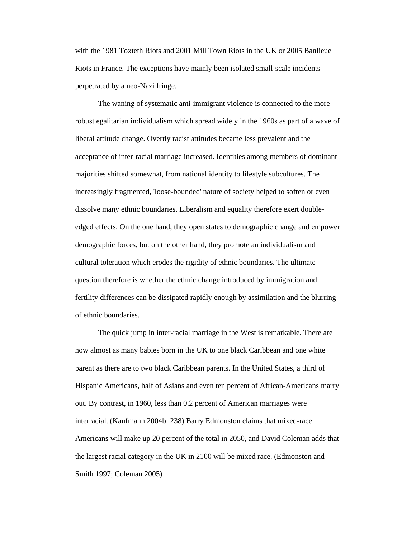with the 1981 Toxteth Riots and 2001 Mill Town Riots in the UK or 2005 Banlieue Riots in France. The exceptions have mainly been isolated small-scale incidents perpetrated by a neo-Nazi fringe.

 The waning of systematic anti-immigrant violence is connected to the more robust egalitarian individualism which spread widely in the 1960s as part of a wave of liberal attitude change. Overtly racist attitudes became less prevalent and the acceptance of inter-racial marriage increased. Identities among members of dominant majorities shifted somewhat, from national identity to lifestyle subcultures. The increasingly fragmented, 'loose-bounded' nature of society helped to soften or even dissolve many ethnic boundaries. Liberalism and equality therefore exert doubleedged effects. On the one hand, they open states to demographic change and empower demographic forces, but on the other hand, they promote an individualism and cultural toleration which erodes the rigidity of ethnic boundaries. The ultimate question therefore is whether the ethnic change introduced by immigration and fertility differences can be dissipated rapidly enough by assimilation and the blurring of ethnic boundaries.

 The quick jump in inter-racial marriage in the West is remarkable. There are now almost as many babies born in the UK to one black Caribbean and one white parent as there are to two black Caribbean parents. In the United States, a third of Hispanic Americans, half of Asians and even ten percent of African-Americans marry out. By contrast, in 1960, less than 0.2 percent of American marriages were interracial. (Kaufmann 2004b: 238) Barry Edmonston claims that mixed-race Americans will make up 20 percent of the total in 2050, and David Coleman adds that the largest racial category in the UK in 2100 will be mixed race. (Edmonston and Smith 1997; Coleman 2005)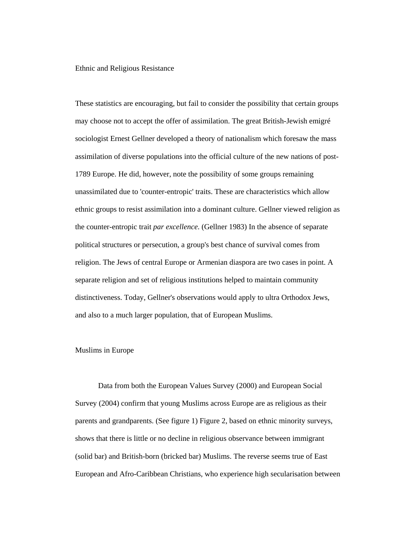Ethnic and Religious Resistance

These statistics are encouraging, but fail to consider the possibility that certain groups may choose not to accept the offer of assimilation. The great British-Jewish emigré sociologist Ernest Gellner developed a theory of nationalism which foresaw the mass assimilation of diverse populations into the official culture of the new nations of post-1789 Europe. He did, however, note the possibility of some groups remaining unassimilated due to 'counter-entropic' traits. These are characteristics which allow ethnic groups to resist assimilation into a dominant culture. Gellner viewed religion as the counter-entropic trait *par excellence*. (Gellner 1983) In the absence of separate political structures or persecution, a group's best chance of survival comes from religion. The Jews of central Europe or Armenian diaspora are two cases in point. A separate religion and set of religious institutions helped to maintain community distinctiveness. Today, Gellner's observations would apply to ultra Orthodox Jews, and also to a much larger population, that of European Muslims.

#### Muslims in Europe

 Data from both the European Values Survey (2000) and European Social Survey (2004) confirm that young Muslims across Europe are as religious as their parents and grandparents. (See figure 1) Figure 2, based on ethnic minority surveys, shows that there is little or no decline in religious observance between immigrant (solid bar) and British-born (bricked bar) Muslims. The reverse seems true of East European and Afro-Caribbean Christians, who experience high secularisation between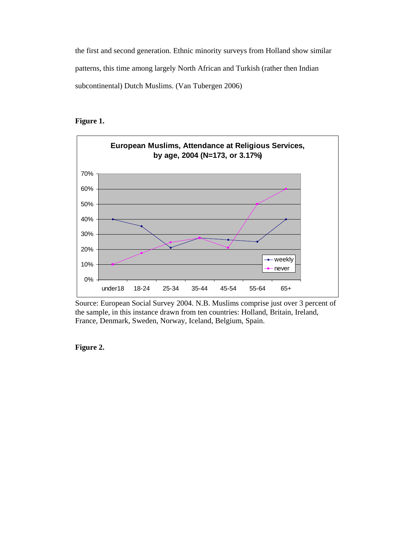the first and second generation. Ethnic minority surveys from Holland show similar patterns, this time among largely North African and Turkish (rather then Indian subcontinental) Dutch Muslims. (Van Tubergen 2006)

# **Figure 1.**



Source: European Social Survey 2004. N.B. Muslims comprise just over 3 percent of the sample, in this instance drawn from ten countries: Holland, Britain, Ireland, France, Denmark, Sweden, Norway, Iceland, Belgium, Spain.

**Figure 2.**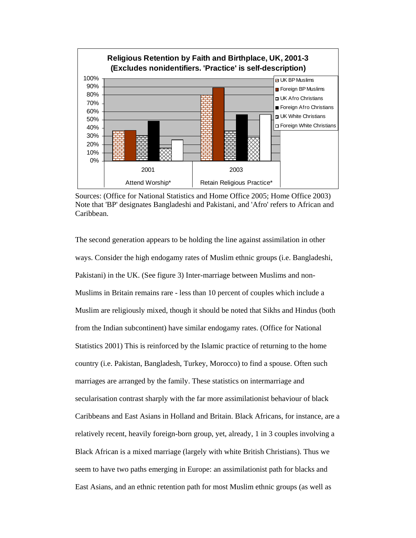

Sources: (Office for National Statistics and Home Office 2005; Home Office 2003) Note that 'BP' designates Bangladeshi and Pakistani, and 'Afro' refers to African and Caribbean.

The second generation appears to be holding the line against assimilation in other ways. Consider the high endogamy rates of Muslim ethnic groups (i.e. Bangladeshi, Pakistani) in the UK. (See figure 3) Inter-marriage between Muslims and non-Muslims in Britain remains rare - less than 10 percent of couples which include a Muslim are religiously mixed, though it should be noted that Sikhs and Hindus (both from the Indian subcontinent) have similar endogamy rates. (Office for National Statistics 2001) This is reinforced by the Islamic practice of returning to the home country (i.e. Pakistan, Bangladesh, Turkey, Morocco) to find a spouse. Often such marriages are arranged by the family. These statistics on intermarriage and secularisation contrast sharply with the far more assimilationist behaviour of black Caribbeans and East Asians in Holland and Britain. Black Africans, for instance, are a relatively recent, heavily foreign-born group, yet, already, 1 in 3 couples involving a Black African is a mixed marriage (largely with white British Christians). Thus we seem to have two paths emerging in Europe: an assimilationist path for blacks and East Asians, and an ethnic retention path for most Muslim ethnic groups (as well as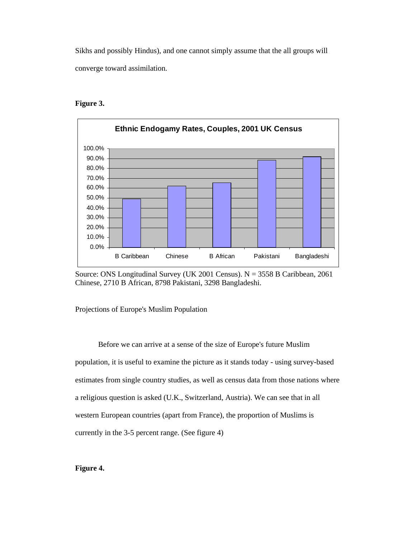Sikhs and possibly Hindus), and one cannot simply assume that the all groups will converge toward assimilation.

# **Figure 3.**



Source: ONS Longitudinal Survey (UK 2001 Census).  $N = 3558$  B Caribbean, 2061 Chinese, 2710 B African, 8798 Pakistani, 3298 Bangladeshi.

Projections of Europe's Muslim Population

 Before we can arrive at a sense of the size of Europe's future Muslim population, it is useful to examine the picture as it stands today - using survey-based estimates from single country studies, as well as census data from those nations where a religious question is asked (U.K., Switzerland, Austria). We can see that in all western European countries (apart from France), the proportion of Muslims is currently in the 3-5 percent range. (See figure 4)

# **Figure 4.**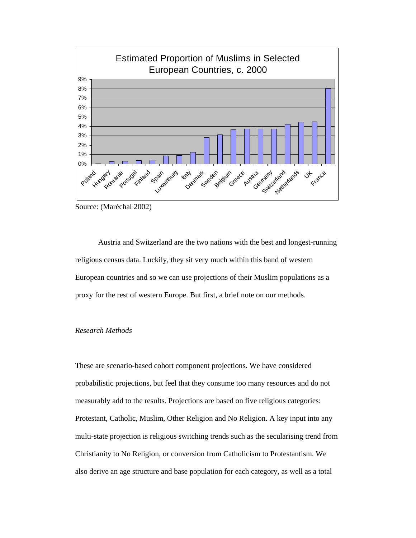

Source: (Maréchal 2002)

Austria and Switzerland are the two nations with the best and longest-running religious census data. Luckily, they sit very much within this band of western European countries and so we can use projections of their Muslim populations as a proxy for the rest of western Europe. But first, a brief note on our methods.

# *Research Methods*

These are scenario-based cohort component projections. We have considered probabilistic projections, but feel that they consume too many resources and do not measurably add to the results. Projections are based on five religious categories: Protestant, Catholic, Muslim, Other Religion and No Religion. A key input into any multi-state projection is religious switching trends such as the secularising trend from Christianity to No Religion, or conversion from Catholicism to Protestantism. We also derive an age structure and base population for each category, as well as a total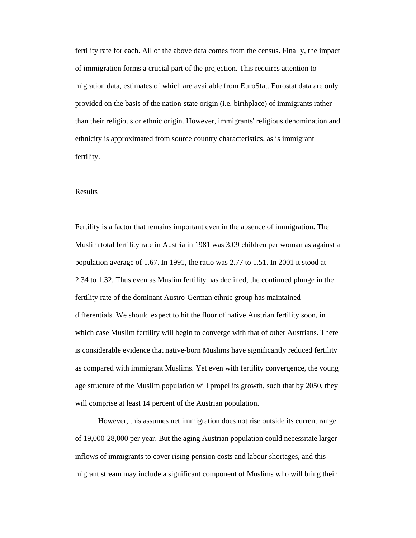fertility rate for each. All of the above data comes from the census. Finally, the impact of immigration forms a crucial part of the projection. This requires attention to migration data, estimates of which are available from EuroStat. Eurostat data are only provided on the basis of the nation-state origin (i.e. birthplace) of immigrants rather than their religious or ethnic origin. However, immigrants' religious denomination and ethnicity is approximated from source country characteristics, as is immigrant fertility.

#### Results

Fertility is a factor that remains important even in the absence of immigration. The Muslim total fertility rate in Austria in 1981 was 3.09 children per woman as against a population average of 1.67. In 1991, the ratio was 2.77 to 1.51. In 2001 it stood at 2.34 to 1.32. Thus even as Muslim fertility has declined, the continued plunge in the fertility rate of the dominant Austro-German ethnic group has maintained differentials. We should expect to hit the floor of native Austrian fertility soon, in which case Muslim fertility will begin to converge with that of other Austrians. There is considerable evidence that native-born Muslims have significantly reduced fertility as compared with immigrant Muslims. Yet even with fertility convergence, the young age structure of the Muslim population will propel its growth, such that by 2050, they will comprise at least 14 percent of the Austrian population.

However, this assumes net immigration does not rise outside its current range of 19,000-28,000 per year. But the aging Austrian population could necessitate larger inflows of immigrants to cover rising pension costs and labour shortages, and this migrant stream may include a significant component of Muslims who will bring their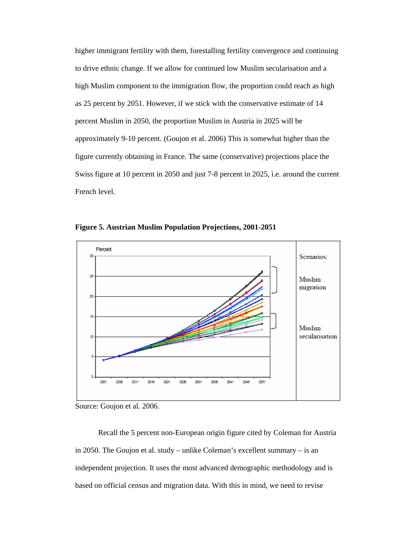higher immigrant fertility with them, forestalling fertility convergence and continuing to drive ethnic change. If we allow for continued low Muslim secularisation and a high Muslim component to the immigration flow, the proportion could reach as high as 25 percent by 2051. However, if we stick with the conservative estimate of 14 percent Muslim in 2050, the proportion Muslim in Austria in 2025 will be approximately 9-10 percent. (Goujon et al. 2006) This is somewhat higher than the figure currently obtaining in France. The same (conservative) projections place the Swiss figure at 10 percent in 2050 and just 7-8 percent in 2025, i.e. around the current French level.

**Figure 5. Austrian Muslim Population Projections, 2001-2051** 



Source: Goujon et al. 2006.

Recall the 5 percent non-European origin figure cited by Coleman for Austria in 2050. The Goujon et al. study – unlike Coleman's excellent summary – is an independent projection. It uses the most advanced demographic methodology and is based on official census and migration data. With this in mind, we need to revise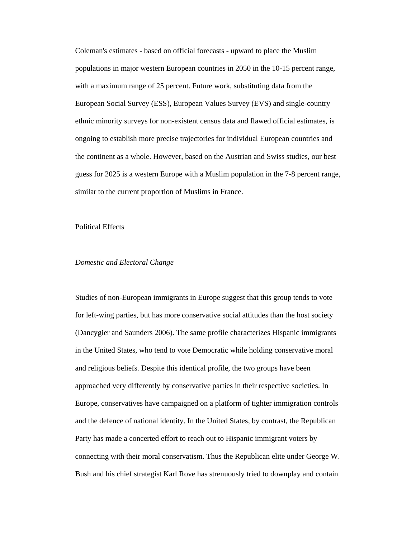Coleman's estimates - based on official forecasts - upward to place the Muslim populations in major western European countries in 2050 in the 10-15 percent range, with a maximum range of 25 percent. Future work, substituting data from the European Social Survey (ESS), European Values Survey (EVS) and single-country ethnic minority surveys for non-existent census data and flawed official estimates, is ongoing to establish more precise trajectories for individual European countries and the continent as a whole. However, based on the Austrian and Swiss studies, our best guess for 2025 is a western Europe with a Muslim population in the 7-8 percent range, similar to the current proportion of Muslims in France.

#### Political Effects

### *Domestic and Electoral Change*

Studies of non-European immigrants in Europe suggest that this group tends to vote for left-wing parties, but has more conservative social attitudes than the host society (Dancygier and Saunders 2006). The same profile characterizes Hispanic immigrants in the United States, who tend to vote Democratic while holding conservative moral and religious beliefs. Despite this identical profile, the two groups have been approached very differently by conservative parties in their respective societies. In Europe, conservatives have campaigned on a platform of tighter immigration controls and the defence of national identity. In the United States, by contrast, the Republican Party has made a concerted effort to reach out to Hispanic immigrant voters by connecting with their moral conservatism. Thus the Republican elite under George W. Bush and his chief strategist Karl Rove has strenuously tried to downplay and contain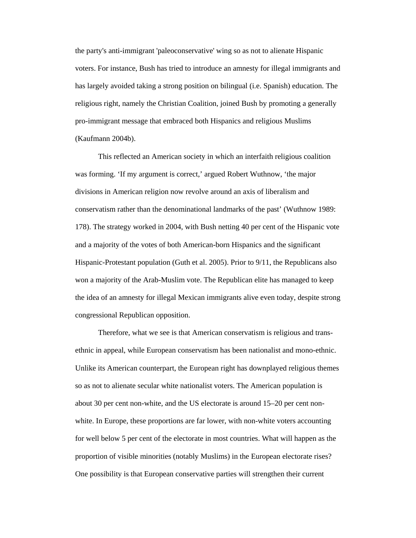the party's anti-immigrant 'paleoconservative' wing so as not to alienate Hispanic voters. For instance, Bush has tried to introduce an amnesty for illegal immigrants and has largely avoided taking a strong position on bilingual (i.e. Spanish) education. The religious right, namely the Christian Coalition, joined Bush by promoting a generally pro-immigrant message that embraced both Hispanics and religious Muslims (Kaufmann 2004b).

This reflected an American society in which an interfaith religious coalition was forming. 'If my argument is correct,' argued Robert Wuthnow, 'the major divisions in American religion now revolve around an axis of liberalism and conservatism rather than the denominational landmarks of the past' (Wuthnow 1989: 178). The strategy worked in 2004, with Bush netting 40 per cent of the Hispanic vote and a majority of the votes of both American-born Hispanics and the significant Hispanic-Protestant population (Guth et al. 2005). Prior to 9/11, the Republicans also won a majority of the Arab-Muslim vote. The Republican elite has managed to keep the idea of an amnesty for illegal Mexican immigrants alive even today, despite strong congressional Republican opposition.

Therefore, what we see is that American conservatism is religious and transethnic in appeal, while European conservatism has been nationalist and mono-ethnic. Unlike its American counterpart, the European right has downplayed religious themes so as not to alienate secular white nationalist voters. The American population is about 30 per cent non-white, and the US electorate is around 15–20 per cent nonwhite. In Europe, these proportions are far lower, with non-white voters accounting for well below 5 per cent of the electorate in most countries. What will happen as the proportion of visible minorities (notably Muslims) in the European electorate rises? One possibility is that European conservative parties will strengthen their current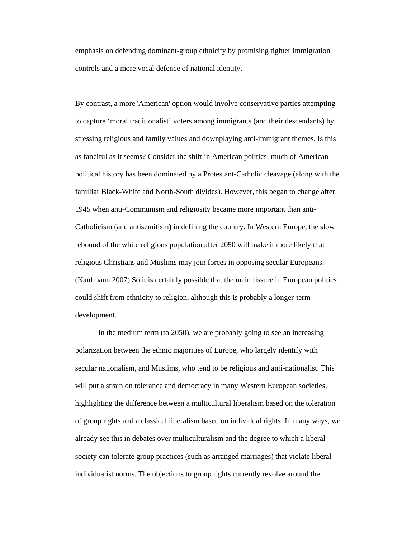emphasis on defending dominant-group ethnicity by promising tighter immigration controls and a more vocal defence of national identity.

By contrast, a more 'American' option would involve conservative parties attempting to capture 'moral traditionalist' voters among immigrants (and their descendants) by stressing religious and family values and downplaying anti-immigrant themes. Is this as fanciful as it seems? Consider the shift in American politics: much of American political history has been dominated by a Protestant-Catholic cleavage (along with the familiar Black-White and North-South divides). However, this began to change after 1945 when anti-Communism and religiosity became more important than anti-Catholicism (and antisemitism) in defining the country. In Western Europe, the slow rebound of the white religious population after 2050 will make it more likely that religious Christians and Muslims may join forces in opposing secular Europeans. (Kaufmann 2007) So it is certainly possible that the main fissure in European politics could shift from ethnicity to religion, although this is probably a longer-term development.

In the medium term (to 2050), we are probably going to see an increasing polarization between the ethnic majorities of Europe, who largely identify with secular nationalism, and Muslims, who tend to be religious and anti-nationalist. This will put a strain on tolerance and democracy in many Western European societies, highlighting the difference between a multicultural liberalism based on the toleration of group rights and a classical liberalism based on individual rights. In many ways, we already see this in debates over multiculturalism and the degree to which a liberal society can tolerate group practices (such as arranged marriages) that violate liberal individualist norms. The objections to group rights currently revolve around the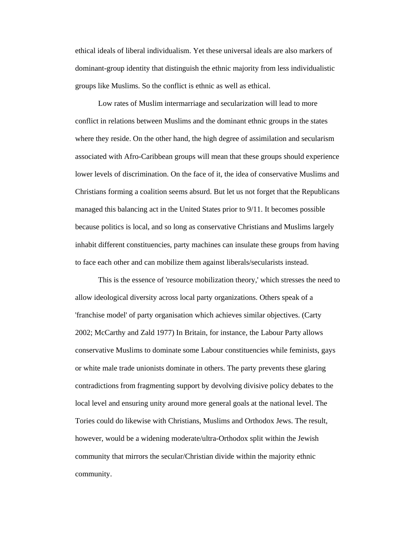ethical ideals of liberal individualism. Yet these universal ideals are also markers of dominant-group identity that distinguish the ethnic majority from less individualistic groups like Muslims. So the conflict is ethnic as well as ethical.

Low rates of Muslim intermarriage and secularization will lead to more conflict in relations between Muslims and the dominant ethnic groups in the states where they reside. On the other hand, the high degree of assimilation and secularism associated with Afro-Caribbean groups will mean that these groups should experience lower levels of discrimination. On the face of it, the idea of conservative Muslims and Christians forming a coalition seems absurd. But let us not forget that the Republicans managed this balancing act in the United States prior to 9/11. It becomes possible because politics is local, and so long as conservative Christians and Muslims largely inhabit different constituencies, party machines can insulate these groups from having to face each other and can mobilize them against liberals/secularists instead.

This is the essence of 'resource mobilization theory,' which stresses the need to allow ideological diversity across local party organizations. Others speak of a 'franchise model' of party organisation which achieves similar objectives. (Carty 2002; McCarthy and Zald 1977) In Britain, for instance, the Labour Party allows conservative Muslims to dominate some Labour constituencies while feminists, gays or white male trade unionists dominate in others. The party prevents these glaring contradictions from fragmenting support by devolving divisive policy debates to the local level and ensuring unity around more general goals at the national level. The Tories could do likewise with Christians, Muslims and Orthodox Jews. The result, however, would be a widening moderate/ultra-Orthodox split within the Jewish community that mirrors the secular/Christian divide within the majority ethnic community.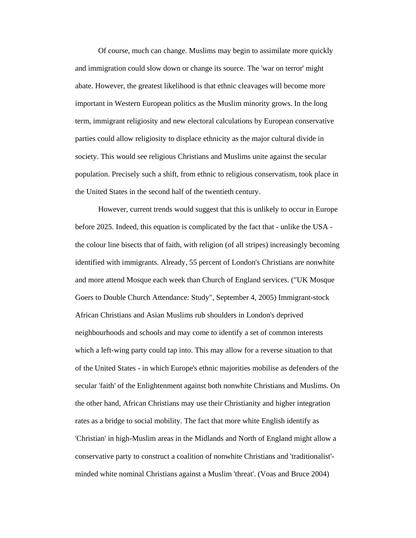Of course, much can change. Muslims may begin to assimilate more quickly and immigration could slow down or change its source. The 'war on terror' might abate. However, the greatest likelihood is that ethnic cleavages will become more important in Western European politics as the Muslim minority grows. In the long term, immigrant religiosity and new electoral calculations by European conservative parties could allow religiosity to displace ethnicity as the major cultural divide in society. This would see religious Christians and Muslims unite against the secular population. Precisely such a shift, from ethnic to religious conservatism, took place in the United States in the second half of the twentieth century.

However, current trends would suggest that this is unlikely to occur in Europe before 2025. Indeed, this equation is complicated by the fact that - unlike the USA the colour line bisects that of faith, with religion (of all stripes) increasingly becoming identified with immigrants. Already, 55 percent of London's Christians are nonwhite and more attend Mosque each week than Church of England services. ("UK Mosque Goers to Double Church Attendance: Study", September 4, 2005) Immigrant-stock African Christians and Asian Muslims rub shoulders in London's deprived neighbourhoods and schools and may come to identify a set of common interests which a left-wing party could tap into. This may allow for a reverse situation to that of the United States - in which Europe's ethnic majorities mobilise as defenders of the secular 'faith' of the Enlightenment against both nonwhite Christians and Muslims. On the other hand, African Christians may use their Christianity and higher integration rates as a bridge to social mobility. The fact that more white English identify as 'Christian' in high-Muslim areas in the Midlands and North of England might allow a conservative party to construct a coalition of nonwhite Christians and 'traditionalist' minded white nominal Christians against a Muslim 'threat'. (Voas and Bruce 2004)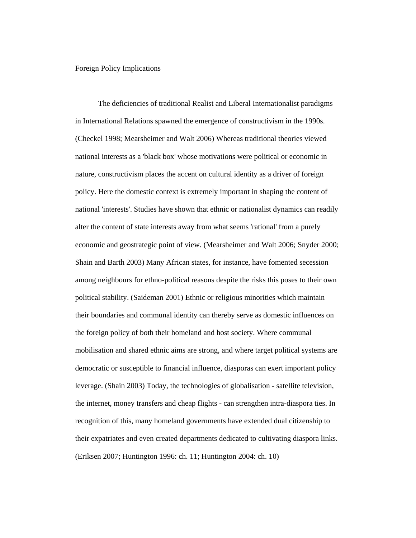Foreign Policy Implications

 The deficiencies of traditional Realist and Liberal Internationalist paradigms in International Relations spawned the emergence of constructivism in the 1990s. (Checkel 1998; Mearsheimer and Walt 2006) Whereas traditional theories viewed national interests as a 'black box' whose motivations were political or economic in nature, constructivism places the accent on cultural identity as a driver of foreign policy. Here the domestic context is extremely important in shaping the content of national 'interests'. Studies have shown that ethnic or nationalist dynamics can readily alter the content of state interests away from what seems 'rational' from a purely economic and geostrategic point of view. (Mearsheimer and Walt 2006; Snyder 2000; Shain and Barth 2003) Many African states, for instance, have fomented secession among neighbours for ethno-political reasons despite the risks this poses to their own political stability. (Saideman 2001) Ethnic or religious minorities which maintain their boundaries and communal identity can thereby serve as domestic influences on the foreign policy of both their homeland and host society. Where communal mobilisation and shared ethnic aims are strong, and where target political systems are democratic or susceptible to financial influence, diasporas can exert important policy leverage. (Shain 2003) Today, the technologies of globalisation - satellite television, the internet, money transfers and cheap flights - can strengthen intra-diaspora ties. In recognition of this, many homeland governments have extended dual citizenship to their expatriates and even created departments dedicated to cultivating diaspora links. (Eriksen 2007; Huntington 1996: ch. 11; Huntington 2004: ch. 10)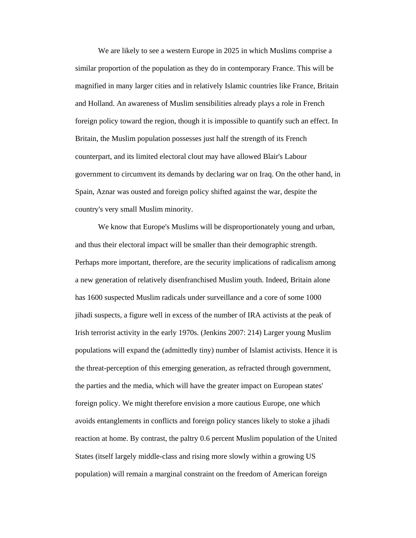We are likely to see a western Europe in 2025 in which Muslims comprise a similar proportion of the population as they do in contemporary France. This will be magnified in many larger cities and in relatively Islamic countries like France, Britain and Holland. An awareness of Muslim sensibilities already plays a role in French foreign policy toward the region, though it is impossible to quantify such an effect. In Britain, the Muslim population possesses just half the strength of its French counterpart, and its limited electoral clout may have allowed Blair's Labour government to circumvent its demands by declaring war on Iraq. On the other hand, in Spain, Aznar was ousted and foreign policy shifted against the war, despite the country's very small Muslim minority.

We know that Europe's Muslims will be disproportionately young and urban, and thus their electoral impact will be smaller than their demographic strength. Perhaps more important, therefore, are the security implications of radicalism among a new generation of relatively disenfranchised Muslim youth. Indeed, Britain alone has 1600 suspected Muslim radicals under surveillance and a core of some 1000 jihadi suspects, a figure well in excess of the number of IRA activists at the peak of Irish terrorist activity in the early 1970s. (Jenkins 2007: 214) Larger young Muslim populations will expand the (admittedly tiny) number of Islamist activists. Hence it is the threat-perception of this emerging generation, as refracted through government, the parties and the media, which will have the greater impact on European states' foreign policy. We might therefore envision a more cautious Europe, one which avoids entanglements in conflicts and foreign policy stances likely to stoke a jihadi reaction at home. By contrast, the paltry 0.6 percent Muslim population of the United States (itself largely middle-class and rising more slowly within a growing US population) will remain a marginal constraint on the freedom of American foreign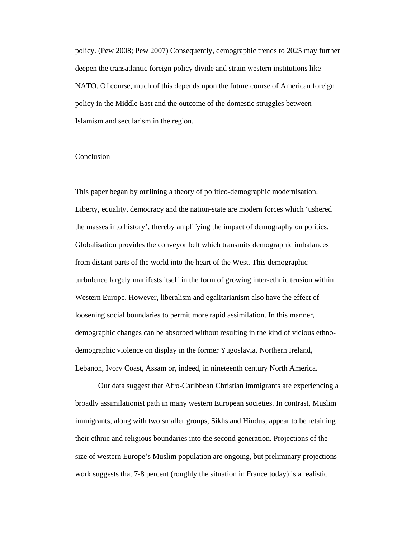policy. (Pew 2008; Pew 2007) Consequently, demographic trends to 2025 may further deepen the transatlantic foreign policy divide and strain western institutions like NATO. Of course, much of this depends upon the future course of American foreign policy in the Middle East and the outcome of the domestic struggles between Islamism and secularism in the region.

## Conclusion

This paper began by outlining a theory of politico-demographic modernisation. Liberty, equality, democracy and the nation-state are modern forces which 'ushered the masses into history', thereby amplifying the impact of demography on politics. Globalisation provides the conveyor belt which transmits demographic imbalances from distant parts of the world into the heart of the West. This demographic turbulence largely manifests itself in the form of growing inter-ethnic tension within Western Europe. However, liberalism and egalitarianism also have the effect of loosening social boundaries to permit more rapid assimilation. In this manner, demographic changes can be absorbed without resulting in the kind of vicious ethnodemographic violence on display in the former Yugoslavia, Northern Ireland, Lebanon, Ivory Coast, Assam or, indeed, in nineteenth century North America.

 Our data suggest that Afro-Caribbean Christian immigrants are experiencing a broadly assimilationist path in many western European societies. In contrast, Muslim immigrants, along with two smaller groups, Sikhs and Hindus, appear to be retaining their ethnic and religious boundaries into the second generation. Projections of the size of western Europe's Muslim population are ongoing, but preliminary projections work suggests that 7-8 percent (roughly the situation in France today) is a realistic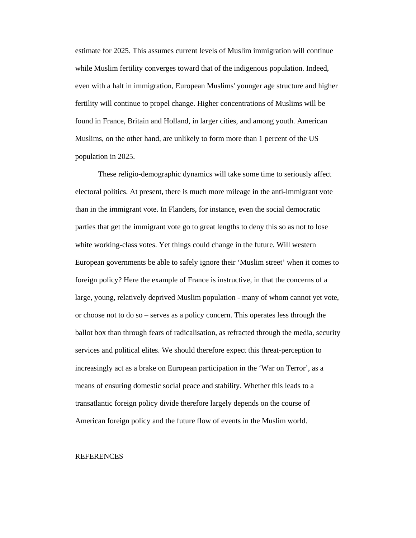estimate for 2025. This assumes current levels of Muslim immigration will continue while Muslim fertility converges toward that of the indigenous population. Indeed, even with a halt in immigration, European Muslims' younger age structure and higher fertility will continue to propel change. Higher concentrations of Muslims will be found in France, Britain and Holland, in larger cities, and among youth. American Muslims, on the other hand, are unlikely to form more than 1 percent of the US population in 2025.

 These religio-demographic dynamics will take some time to seriously affect electoral politics. At present, there is much more mileage in the anti-immigrant vote than in the immigrant vote. In Flanders, for instance, even the social democratic parties that get the immigrant vote go to great lengths to deny this so as not to lose white working-class votes. Yet things could change in the future. Will western European governments be able to safely ignore their 'Muslim street' when it comes to foreign policy? Here the example of France is instructive, in that the concerns of a large, young, relatively deprived Muslim population - many of whom cannot yet vote, or choose not to do so – serves as a policy concern. This operates less through the ballot box than through fears of radicalisation, as refracted through the media, security services and political elites. We should therefore expect this threat-perception to increasingly act as a brake on European participation in the 'War on Terror', as a means of ensuring domestic social peace and stability. Whether this leads to a transatlantic foreign policy divide therefore largely depends on the course of American foreign policy and the future flow of events in the Muslim world.

## REFERENCES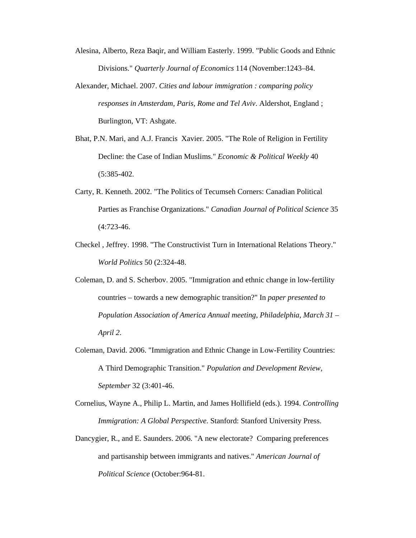Alesina, Alberto, Reza Baqir, and William Easterly. 1999. "Public Goods and Ethnic Divisions." *Quarterly Journal of Economics* 114 (November:1243–84.

- Alexander, Michael. 2007. *Cities and labour immigration : comparing policy responses in Amsterdam, Paris, Rome and Tel Aviv*. Aldershot, England ; Burlington, VT: Ashgate.
- Bhat, P.N. Mari, and A.J. Francis Xavier. 2005. "The Role of Religion in Fertility Decline: the Case of Indian Muslims." *Economic & Political Weekly* 40 (5:385-402.
- Carty, R. Kenneth. 2002. "The Politics of Tecumseh Corners: Canadian Political Parties as Franchise Organizations." *Canadian Journal of Political Science* 35 (4:723-46.
- Checkel , Jeffrey. 1998. "The Constructivist Turn in International Relations Theory." *World Politics* 50 (2:324-48.
- Coleman, D. and S. Scherbov. 2005. "Immigration and ethnic change in low-fertility countries – towards a new demographic transition?" In *paper presented to Population Association of America Annual meeting, Philadelphia, March 31 – April 2*.
- Coleman, David. 2006. "Immigration and Ethnic Change in Low-Fertility Countries: A Third Demographic Transition." *Population and Development Review, September* 32 (3:401-46.
- Cornelius, Wayne A., Philip L. Martin, and James Hollifield (eds.). 1994. *Controlling Immigration: A Global Perspective*. Stanford: Stanford University Press.
- Dancygier, R., and E. Saunders. 2006. "A new electorate? Comparing preferences and partisanship between immigrants and natives." *American Journal of Political Science* (October:964-81.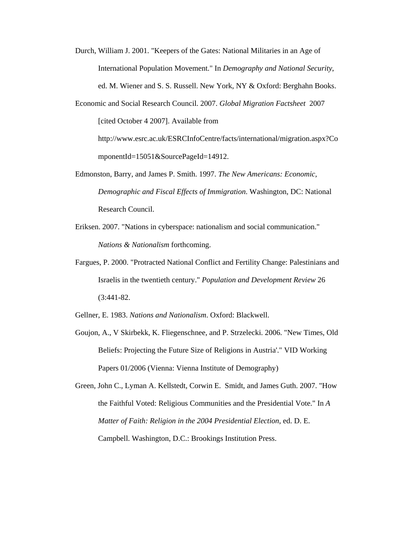- Durch, William J. 2001. "Keepers of the Gates: National Militaries in an Age of International Population Movement." In *Demography and National Security*, ed. M. Wiener and S. S. Russell. New York, NY & Oxford: Berghahn Books.
- Economic and Social Research Council. 2007. *Global Migration Factsheet* 2007 [cited October 4 2007]. Available from

http://www.esrc.ac.uk/ESRCInfoCentre/facts/international/migration.aspx?Co mponentId=15051&SourcePageId=14912.

- Edmonston, Barry, and James P. Smith. 1997. *The New Americans: Economic, Demographic and Fiscal Effects of Immigration*. Washington, DC: National Research Council.
- Eriksen. 2007. "Nations in cyberspace: nationalism and social communication." *Nations & Nationalism* forthcoming.
- Fargues, P. 2000. "Protracted National Conflict and Fertility Change: Palestinians and Israelis in the twentieth century." *Population and Development Review* 26 (3:441-82.
- Gellner, E. 1983. *Nations and Nationalism*. Oxford: Blackwell.
- Goujon, A., V Skirbekk, K. Fliegenschnee, and P. Strzelecki. 2006. "New Times, Old Beliefs: Projecting the Future Size of Religions in Austria'." VID Working Papers 01/2006 (Vienna: Vienna Institute of Demography)
- Green, John C., Lyman A. Kellstedt, Corwin E. Smidt, and James Guth. 2007. "How the Faithful Voted: Religious Communities and the Presidential Vote." In *A Matter of Faith: Religion in the 2004 Presidential Election*, ed. D. E. Campbell. Washington, D.C.: Brookings Institution Press.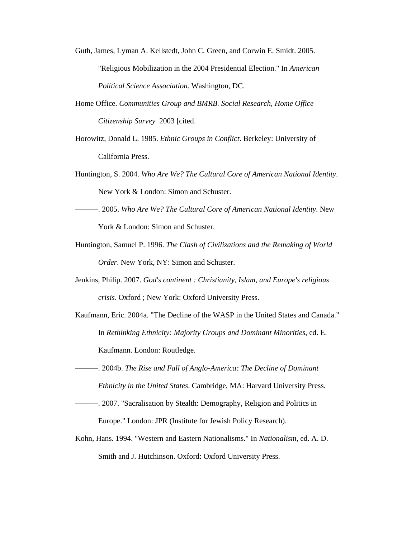- Guth, James, Lyman A. Kellstedt, John C. Green, and Corwin E. Smidt. 2005. "Religious Mobilization in the 2004 Presidential Election." In *American Political Science Association*. Washington, DC.
- Home Office. *Communities Group and BMRB. Social Research, Home Office Citizenship Survey* 2003 [cited.
- Horowitz, Donald L. 1985. *Ethnic Groups in Conflict*. Berkeley: University of California Press.
- Huntington, S. 2004. *Who Are We? The Cultural Core of American National Identity*. New York & London: Simon and Schuster.
- ———. 2005. *Who Are We? The Cultural Core of American National Identity*. New York & London: Simon and Schuster.
- Huntington, Samuel P. 1996. *The Clash of Civilizations and the Remaking of World Order*. New York, NY: Simon and Schuster.
- Jenkins, Philip. 2007. *God's continent : Christianity, Islam, and Europe's religious crisis*. Oxford ; New York: Oxford University Press.
- Kaufmann, Eric. 2004a. "The Decline of the WASP in the United States and Canada." In *Rethinking Ethnicity: Majority Groups and Dominant Minorities*, ed. E. Kaufmann. London: Routledge.
- ———. 2004b. *The Rise and Fall of Anglo-America: The Decline of Dominant Ethnicity in the United States*. Cambridge, MA: Harvard University Press.
- ———. 2007. "Sacralisation by Stealth: Demography, Religion and Politics in Europe." London: JPR (Institute for Jewish Policy Research).
- Kohn, Hans. 1994. "Western and Eastern Nationalisms." In *Nationalism*, ed. A. D. Smith and J. Hutchinson. Oxford: Oxford University Press.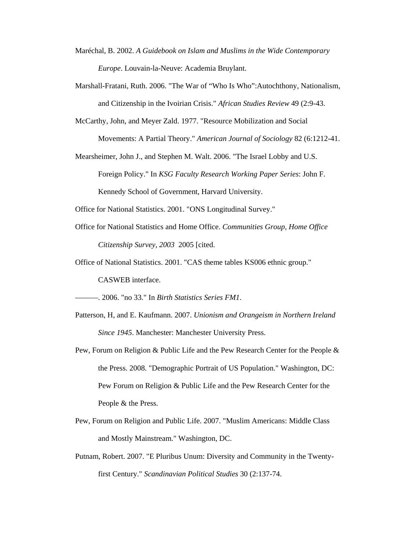- Maréchal, B. 2002. *A Guidebook on Islam and Muslims in the Wide Contemporary Europe*. Louvain-la-Neuve: Academia Bruylant.
- Marshall-Fratani, Ruth. 2006. "The War of "Who Is Who":Autochthony, Nationalism, and Citizenship in the Ivoirian Crisis." *African Studies Review* 49 (2:9-43.
- McCarthy, John, and Meyer Zald. 1977. "Resource Mobilization and Social Movements: A Partial Theory." *American Journal of Sociology* 82 (6:1212-41.
- Mearsheimer, John J., and Stephen M. Walt. 2006. "The Israel Lobby and U.S. Foreign Policy." In *KSG Faculty Research Working Paper Series*: John F. Kennedy School of Government, Harvard University.
- Office for National Statistics. 2001. "ONS Longitudinal Survey."
- Office for National Statistics and Home Office. *Communities Group, Home Office Citizenship Survey, 2003* 2005 [cited.
- Office of National Statistics. 2001. "CAS theme tables KS006 ethnic group." CASWEB interface.

———. 2006. "no 33." In *Birth Statistics Series FM1*.

- Patterson, H, and E. Kaufmann. 2007. *Unionism and Orangeism in Northern Ireland Since 1945*. Manchester: Manchester University Press.
- Pew, Forum on Religion & Public Life and the Pew Research Center for the People & the Press. 2008. "Demographic Portrait of US Population." Washington, DC: Pew Forum on Religion & Public Life and the Pew Research Center for the People & the Press.
- Pew, Forum on Religion and Public Life. 2007. "Muslim Americans: Middle Class and Mostly Mainstream." Washington, DC.
- Putnam, Robert. 2007. "E Pluribus Unum: Diversity and Community in the Twentyfirst Century." *Scandinavian Political Studies* 30 (2:137-74.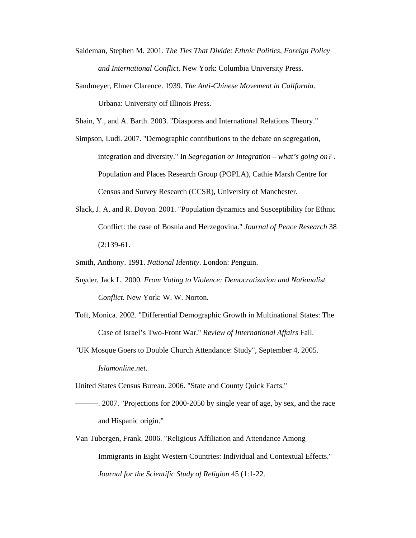- Saideman, Stephen M. 2001. *The Ties That Divide: Ethnic Politics, Foreign Policy and International Conflict*. New York: Columbia University Press.
- Sandmeyer, Elmer Clarence. 1939. *The Anti-Chinese Movement in California*. Urbana: University oif Illinois Press.

Shain, Y., and A. Barth. 2003. "Diasporas and International Relations Theory."

- Simpson, Ludi. 2007. "Demographic contributions to the debate on segregation, integration and diversity." In *Segregation or Integration – what's going on?* . Population and Places Research Group (POPLA), Cathie Marsh Centre for Census and Survey Research (CCSR), University of Manchester.
- Slack, J. A, and R. Doyon. 2001. "Population dynamics and Susceptibility for Ethnic Conflict: the case of Bosnia and Herzegovina." *Journal of Peace Research* 38  $(2:139-61.$
- Smith, Anthony. 1991. *National Identity*. London: Penguin.
- Snyder, Jack L. 2000. *From Voting to Violence: Democratization and Nationalist Conflict*. New York: W. W. Norton.
- Toft, Monica. 2002. "Differential Demographic Growth in Multinational States: The Case of Israel's Two-Front War." *Review of International Affairs* Fall.
- "UK Mosque Goers to Double Church Attendance: Study", September 4, 2005. *Islamonline.net*.

United States Census Bureau. 2006. "State and County Quick Facts."

- ———. 2007. "Projections for 2000-2050 by single year of age, by sex, and the race and Hispanic origin."
- Van Tubergen, Frank. 2006. "Religious Affiliation and Attendance Among Immigrants in Eight Western Countries: Individual and Contextual Effects." *Journal for the Scientific Study of Religion* 45 (1:1-22.